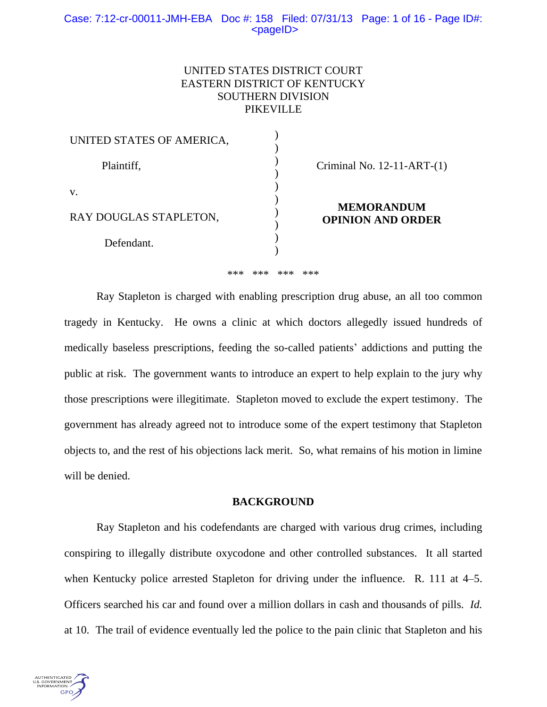## Case: 7:12-cr-00011-JMH-EBA Doc #: 158 Filed: 07/31/13 Page: 1 of 16 - Page ID#:  $<$ pageID $>$

# UNITED STATES DISTRICT COURT EASTERN DISTRICT OF KENTUCKY SOUTHERN DIVISION PIKEVILLE

| UNITED STATES OF AMERICA, |                                               |
|---------------------------|-----------------------------------------------|
| Plaintiff,                | Criminal No. $12-11-ART-(1)$                  |
| V.                        |                                               |
| RAY DOUGLAS STAPLETON,    | <b>MEMORANDUM</b><br><b>OPINION AND ORDER</b> |
| Defendant.                |                                               |

\*\*\* \*\*\* \*\*\* \*\*\*

Ray Stapleton is charged with enabling prescription drug abuse, an all too common tragedy in Kentucky. He owns a clinic at which doctors allegedly issued hundreds of medically baseless prescriptions, feeding the so-called patients' addictions and putting the public at risk. The government wants to introduce an expert to help explain to the jury why those prescriptions were illegitimate. Stapleton moved to exclude the expert testimony. The government has already agreed not to introduce some of the expert testimony that Stapleton objects to, and the rest of his objections lack merit. So, what remains of his motion in limine will be denied.

## **BACKGROUND**

Ray Stapleton and his codefendants are charged with various drug crimes, including conspiring to illegally distribute oxycodone and other controlled substances. It all started when Kentucky police arrested Stapleton for driving under the influence. R. 111 at 4–5. Officers searched his car and found over a million dollars in cash and thousands of pills. *Id.*  at 10. The trail of evidence eventually led the police to the pain clinic that Stapleton and his

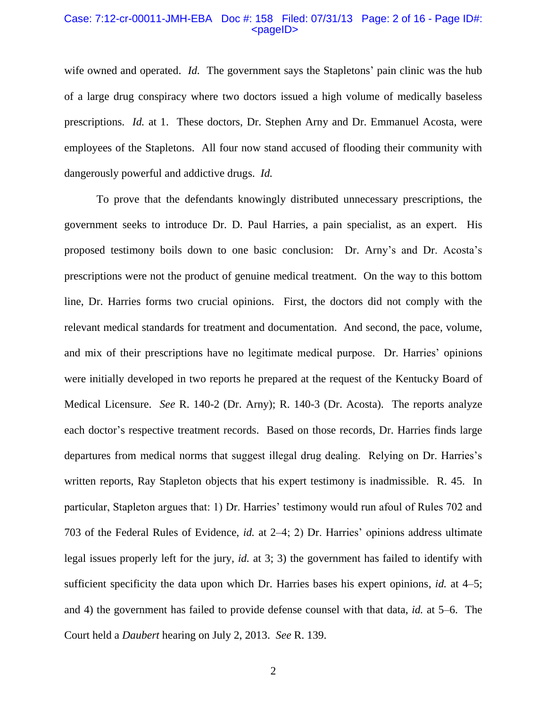## Case: 7:12-cr-00011-JMH-EBA Doc #: 158 Filed: 07/31/13 Page: 2 of 16 - Page ID#:  $<$ pageID $>$

wife owned and operated. *Id.* The government says the Stapletons' pain clinic was the hub of a large drug conspiracy where two doctors issued a high volume of medically baseless prescriptions. *Id.* at 1. These doctors, Dr. Stephen Arny and Dr. Emmanuel Acosta, were employees of the Stapletons. All four now stand accused of flooding their community with dangerously powerful and addictive drugs. *Id.*

To prove that the defendants knowingly distributed unnecessary prescriptions, the government seeks to introduce Dr. D. Paul Harries, a pain specialist, as an expert. His proposed testimony boils down to one basic conclusion: Dr. Arny's and Dr. Acosta's prescriptions were not the product of genuine medical treatment. On the way to this bottom line, Dr. Harries forms two crucial opinions. First, the doctors did not comply with the relevant medical standards for treatment and documentation. And second, the pace, volume, and mix of their prescriptions have no legitimate medical purpose. Dr. Harries' opinions were initially developed in two reports he prepared at the request of the Kentucky Board of Medical Licensure. *See* R. 140-2 (Dr. Arny); R. 140-3 (Dr. Acosta). The reports analyze each doctor's respective treatment records. Based on those records, Dr. Harries finds large departures from medical norms that suggest illegal drug dealing. Relying on Dr. Harries's written reports, Ray Stapleton objects that his expert testimony is inadmissible. R. 45. In particular, Stapleton argues that: 1) Dr. Harries' testimony would run afoul of Rules 702 and 703 of the Federal Rules of Evidence, *id.* at 2–4; 2) Dr. Harries' opinions address ultimate legal issues properly left for the jury, *id.* at 3; 3) the government has failed to identify with sufficient specificity the data upon which Dr. Harries bases his expert opinions, *id.* at 4–5; and 4) the government has failed to provide defense counsel with that data, *id.* at 5–6. The Court held a *Daubert* hearing on July 2, 2013. *See* R. 139.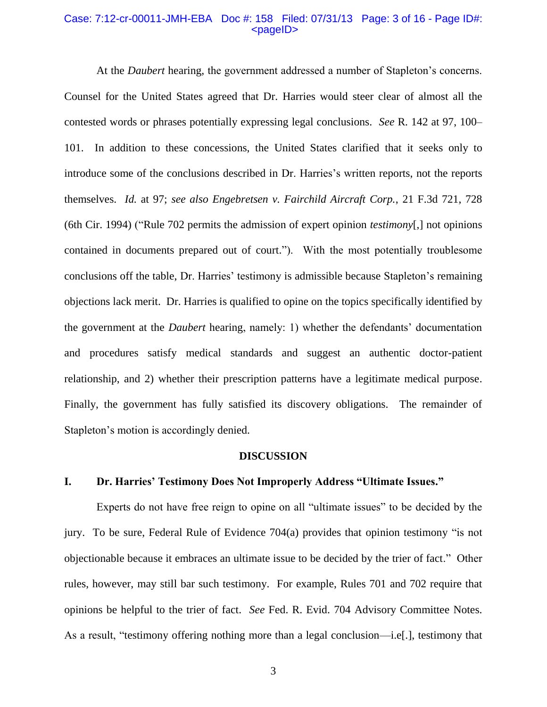#### Case: 7:12-cr-00011-JMH-EBA Doc #: 158 Filed: 07/31/13 Page: 3 of 16 - Page ID#:  $<$ pageID $>$

At the *Daubert* hearing, the government addressed a number of Stapleton's concerns. Counsel for the United States agreed that Dr. Harries would steer clear of almost all the contested words or phrases potentially expressing legal conclusions. *See* R. 142 at 97, 100– 101. In addition to these concessions, the United States clarified that it seeks only to introduce some of the conclusions described in Dr. Harries's written reports, not the reports themselves. *Id.* at 97; *see also Engebretsen v. Fairchild Aircraft Corp.*, 21 F.3d 721, 728 (6th Cir. 1994) ("Rule 702 permits the admission of expert opinion *testimony*[,] not opinions contained in documents prepared out of court."). With the most potentially troublesome conclusions off the table, Dr. Harries' testimony is admissible because Stapleton's remaining objections lack merit. Dr. Harries is qualified to opine on the topics specifically identified by the government at the *Daubert* hearing, namely: 1) whether the defendants' documentation and procedures satisfy medical standards and suggest an authentic doctor-patient relationship, and 2) whether their prescription patterns have a legitimate medical purpose. Finally, the government has fully satisfied its discovery obligations. The remainder of Stapleton's motion is accordingly denied.

#### **DISCUSSION**

## **I. Dr. Harries' Testimony Does Not Improperly Address "Ultimate Issues."**

Experts do not have free reign to opine on all "ultimate issues" to be decided by the jury. To be sure, Federal Rule of Evidence 704(a) provides that opinion testimony "is not objectionable because it embraces an ultimate issue to be decided by the trier of fact." Other rules, however, may still bar such testimony. For example, Rules 701 and 702 require that opinions be helpful to the trier of fact. *See* Fed. R. Evid. 704 Advisory Committee Notes. As a result, "testimony offering nothing more than a legal conclusion—i.e[.], testimony that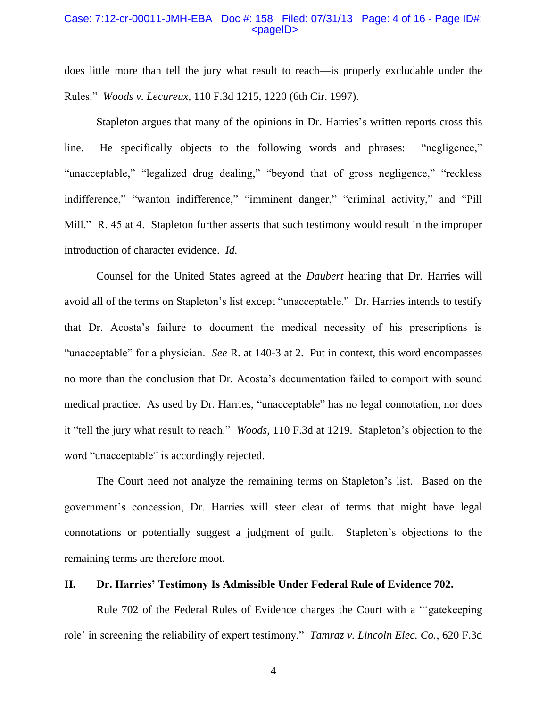## Case: 7:12-cr-00011-JMH-EBA Doc #: 158 Filed: 07/31/13 Page: 4 of 16 - Page ID#:  $<$ pageID $>$

does little more than tell the jury what result to reach—is properly excludable under the Rules." *Woods v. Lecureux*, 110 F.3d 1215, 1220 (6th Cir. 1997).

Stapleton argues that many of the opinions in Dr. Harries's written reports cross this line. He specifically objects to the following words and phrases: "negligence," "unacceptable," "legalized drug dealing," "beyond that of gross negligence," "reckless" indifference," "wanton indifference," "imminent danger," "criminal activity," and "Pill Mill." R. 45 at 4. Stapleton further asserts that such testimony would result in the improper introduction of character evidence. *Id.* 

Counsel for the United States agreed at the *Daubert* hearing that Dr. Harries will avoid all of the terms on Stapleton's list except "unacceptable." Dr. Harries intends to testify that Dr. Acosta's failure to document the medical necessity of his prescriptions is "unacceptable" for a physician. *See* R. at 140-3 at 2. Put in context, this word encompasses no more than the conclusion that Dr. Acosta's documentation failed to comport with sound medical practice. As used by Dr. Harries, "unacceptable" has no legal connotation, nor does it "tell the jury what result to reach." *Woods*, 110 F.3d at 1219. Stapleton's objection to the word "unacceptable" is accordingly rejected.

The Court need not analyze the remaining terms on Stapleton's list. Based on the government's concession, Dr. Harries will steer clear of terms that might have legal connotations or potentially suggest a judgment of guilt. Stapleton's objections to the remaining terms are therefore moot.

## **II. Dr. Harries' Testimony Is Admissible Under Federal Rule of Evidence 702.**

Rule 702 of the Federal Rules of Evidence charges the Court with a "'gatekeeping role' in screening the reliability of expert testimony." *Tamraz v. Lincoln Elec. Co.*, 620 F.3d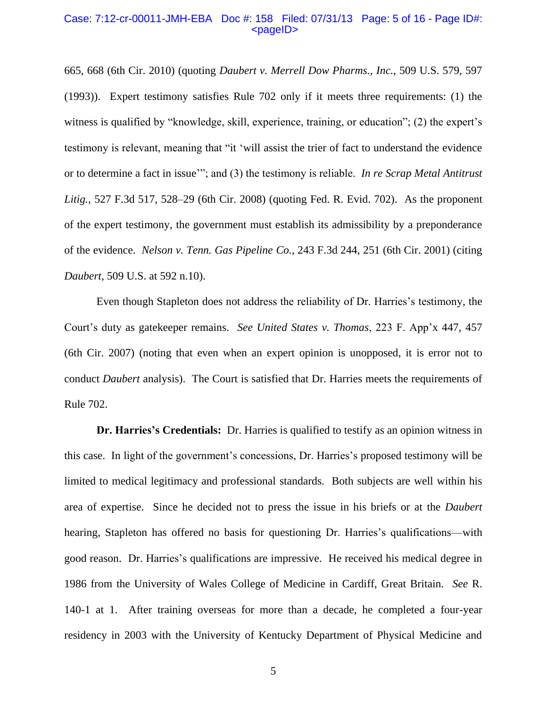## Case: 7:12-cr-00011-JMH-EBA Doc #: 158 Filed: 07/31/13 Page: 5 of 16 - Page ID#:  $<$ pageID $>$

665, 668 (6th Cir. 2010) (quoting *Daubert v. Merrell Dow Pharms., Inc.*, 509 U.S. 579, 597 (1993)). Expert testimony satisfies Rule 702 only if it meets three requirements: (1) the witness is qualified by "knowledge, skill, experience, training, or education"; (2) the expert's testimony is relevant, meaning that "it 'will assist the trier of fact to understand the evidence or to determine a fact in issue'"; and (3) the testimony is reliable. *In re Scrap Metal Antitrust Litig.*, 527 F.3d 517, 528–29 (6th Cir. 2008) (quoting Fed. R. Evid. 702). As the proponent of the expert testimony, the government must establish its admissibility by a preponderance of the evidence. *Nelson v. Tenn. Gas Pipeline Co.*, 243 F.3d 244, 251 (6th Cir. 2001) (citing *Daubert*, 509 U.S. at 592 n.10).

Even though Stapleton does not address the reliability of Dr. Harries's testimony, the Court's duty as gatekeeper remains. *See United States v. Thomas*, 223 F. App'x 447, 457 (6th Cir. 2007) (noting that even when an expert opinion is unopposed, it is error not to conduct *Daubert* analysis). The Court is satisfied that Dr. Harries meets the requirements of Rule 702.

**Dr. Harries's Credentials:** Dr. Harries is qualified to testify as an opinion witness in this case. In light of the government's concessions, Dr. Harries's proposed testimony will be limited to medical legitimacy and professional standards. Both subjects are well within his area of expertise. Since he decided not to press the issue in his briefs or at the *Daubert*  hearing, Stapleton has offered no basis for questioning Dr. Harries's qualifications—with good reason. Dr. Harries's qualifications are impressive. He received his medical degree in 1986 from the University of Wales College of Medicine in Cardiff, Great Britain. *See* R. 140-1 at 1. After training overseas for more than a decade, he completed a four-year residency in 2003 with the University of Kentucky Department of Physical Medicine and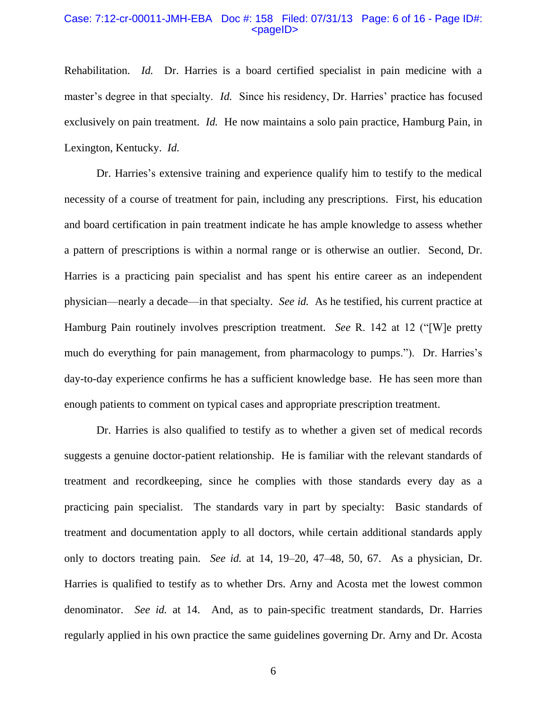#### Case: 7:12-cr-00011-JMH-EBA Doc #: 158 Filed: 07/31/13 Page: 6 of 16 - Page ID#:  $<$ pageID $>$

Rehabilitation. *Id.* Dr. Harries is a board certified specialist in pain medicine with a master's degree in that specialty. *Id.* Since his residency, Dr. Harries' practice has focused exclusively on pain treatment. *Id.* He now maintains a solo pain practice, Hamburg Pain, in Lexington, Kentucky. *Id.*

Dr. Harries's extensive training and experience qualify him to testify to the medical necessity of a course of treatment for pain, including any prescriptions. First, his education and board certification in pain treatment indicate he has ample knowledge to assess whether a pattern of prescriptions is within a normal range or is otherwise an outlier. Second, Dr. Harries is a practicing pain specialist and has spent his entire career as an independent physician—nearly a decade—in that specialty. *See id.* As he testified, his current practice at Hamburg Pain routinely involves prescription treatment. *See* R. 142 at 12 ("[W]e pretty much do everything for pain management, from pharmacology to pumps."). Dr. Harries's day-to-day experience confirms he has a sufficient knowledge base. He has seen more than enough patients to comment on typical cases and appropriate prescription treatment.

Dr. Harries is also qualified to testify as to whether a given set of medical records suggests a genuine doctor-patient relationship. He is familiar with the relevant standards of treatment and recordkeeping, since he complies with those standards every day as a practicing pain specialist. The standards vary in part by specialty: Basic standards of treatment and documentation apply to all doctors, while certain additional standards apply only to doctors treating pain. *See id.* at 14, 19–20, 47–48, 50, 67. As a physician, Dr. Harries is qualified to testify as to whether Drs. Arny and Acosta met the lowest common denominator. *See id.* at 14. And, as to pain-specific treatment standards, Dr. Harries regularly applied in his own practice the same guidelines governing Dr. Arny and Dr. Acosta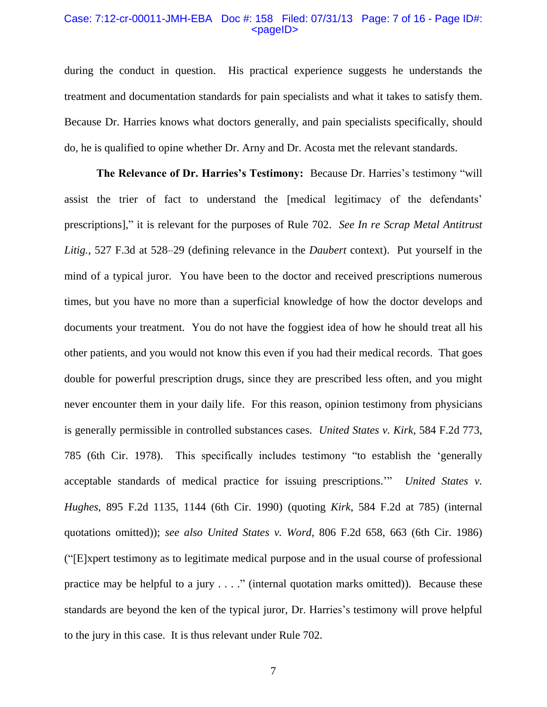## Case: 7:12-cr-00011-JMH-EBA Doc #: 158 Filed: 07/31/13 Page: 7 of 16 - Page ID#:  $<$ pageID $>$

during the conduct in question. His practical experience suggests he understands the treatment and documentation standards for pain specialists and what it takes to satisfy them. Because Dr. Harries knows what doctors generally, and pain specialists specifically, should do, he is qualified to opine whether Dr. Arny and Dr. Acosta met the relevant standards.

**The Relevance of Dr. Harries's Testimony:** Because Dr. Harries's testimony "will assist the trier of fact to understand the [medical legitimacy of the defendants' prescriptions]," it is relevant for the purposes of Rule 702. *See In re Scrap Metal Antitrust Litig.*, 527 F.3d at 528–29 (defining relevance in the *Daubert* context). Put yourself in the mind of a typical juror. You have been to the doctor and received prescriptions numerous times, but you have no more than a superficial knowledge of how the doctor develops and documents your treatment. You do not have the foggiest idea of how he should treat all his other patients, and you would not know this even if you had their medical records. That goes double for powerful prescription drugs, since they are prescribed less often, and you might never encounter them in your daily life. For this reason, opinion testimony from physicians is generally permissible in controlled substances cases. *United States v. Kirk*, 584 F.2d 773, 785 (6th Cir. 1978). This specifically includes testimony "to establish the 'generally acceptable standards of medical practice for issuing prescriptions.'" *United States v. Hughes*, 895 F.2d 1135, 1144 (6th Cir. 1990) (quoting *Kirk*, 584 F.2d at 785) (internal quotations omitted)); *see also United States v. Word*, 806 F.2d 658, 663 (6th Cir. 1986) ("[E]xpert testimony as to legitimate medical purpose and in the usual course of professional practice may be helpful to a jury . . . ." (internal quotation marks omitted)). Because these standards are beyond the ken of the typical juror, Dr. Harries's testimony will prove helpful to the jury in this case. It is thus relevant under Rule 702.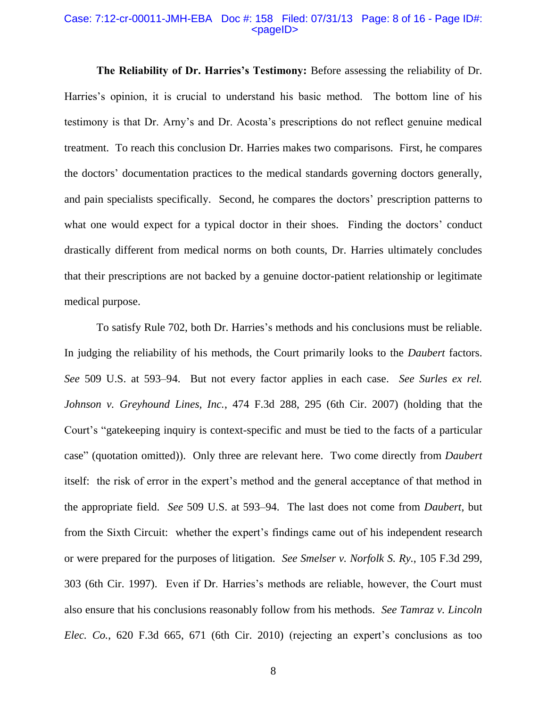## Case: 7:12-cr-00011-JMH-EBA Doc #: 158 Filed: 07/31/13 Page: 8 of 16 - Page ID#:  $<$ pageID $>$

**The Reliability of Dr. Harries's Testimony:** Before assessing the reliability of Dr. Harries's opinion, it is crucial to understand his basic method. The bottom line of his testimony is that Dr. Arny's and Dr. Acosta's prescriptions do not reflect genuine medical treatment. To reach this conclusion Dr. Harries makes two comparisons. First, he compares the doctors' documentation practices to the medical standards governing doctors generally, and pain specialists specifically. Second, he compares the doctors' prescription patterns to what one would expect for a typical doctor in their shoes. Finding the doctors' conduct drastically different from medical norms on both counts, Dr. Harries ultimately concludes that their prescriptions are not backed by a genuine doctor-patient relationship or legitimate medical purpose.

To satisfy Rule 702, both Dr. Harries's methods and his conclusions must be reliable. In judging the reliability of his methods, the Court primarily looks to the *Daubert* factors. *See* 509 U.S. at 593–94. But not every factor applies in each case. *See Surles ex rel. Johnson v. Greyhound Lines, Inc.*, 474 F.3d 288, 295 (6th Cir. 2007) (holding that the Court's "gatekeeping inquiry is context-specific and must be tied to the facts of a particular case" (quotation omitted)). Only three are relevant here. Two come directly from *Daubert*  itself: the risk of error in the expert's method and the general acceptance of that method in the appropriate field. *See* 509 U.S. at 593–94. The last does not come from *Daubert*, but from the Sixth Circuit: whether the expert's findings came out of his independent research or were prepared for the purposes of litigation. *See Smelser v. Norfolk S. Ry.*, 105 F.3d 299, 303 (6th Cir. 1997). Even if Dr. Harries's methods are reliable, however, the Court must also ensure that his conclusions reasonably follow from his methods. *See Tamraz v. Lincoln Elec. Co.*, 620 F.3d 665, 671 (6th Cir. 2010) (rejecting an expert's conclusions as too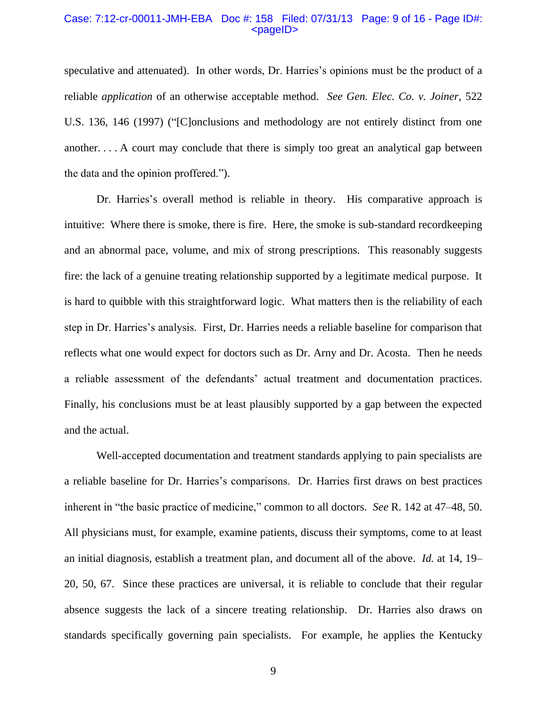## Case: 7:12-cr-00011-JMH-EBA Doc #: 158 Filed: 07/31/13 Page: 9 of 16 - Page ID#:  $<$ pageID $>$

speculative and attenuated). In other words, Dr. Harries's opinions must be the product of a reliable *application* of an otherwise acceptable method. *See Gen. Elec. Co. v. Joiner*, 522 U.S. 136, 146 (1997) ("[C]onclusions and methodology are not entirely distinct from one another. . . . A court may conclude that there is simply too great an analytical gap between the data and the opinion proffered.").

Dr. Harries's overall method is reliable in theory. His comparative approach is intuitive: Where there is smoke, there is fire. Here, the smoke is sub-standard recordkeeping and an abnormal pace, volume, and mix of strong prescriptions. This reasonably suggests fire: the lack of a genuine treating relationship supported by a legitimate medical purpose. It is hard to quibble with this straightforward logic. What matters then is the reliability of each step in Dr. Harries's analysis. First, Dr. Harries needs a reliable baseline for comparison that reflects what one would expect for doctors such as Dr. Arny and Dr. Acosta. Then he needs a reliable assessment of the defendants' actual treatment and documentation practices. Finally, his conclusions must be at least plausibly supported by a gap between the expected and the actual.

Well-accepted documentation and treatment standards applying to pain specialists are a reliable baseline for Dr. Harries's comparisons. Dr. Harries first draws on best practices inherent in "the basic practice of medicine," common to all doctors. *See* R. 142 at 47–48, 50. All physicians must, for example, examine patients, discuss their symptoms, come to at least an initial diagnosis, establish a treatment plan, and document all of the above. *Id.* at 14, 19– 20, 50, 67. Since these practices are universal, it is reliable to conclude that their regular absence suggests the lack of a sincere treating relationship. Dr. Harries also draws on standards specifically governing pain specialists. For example, he applies the Kentucky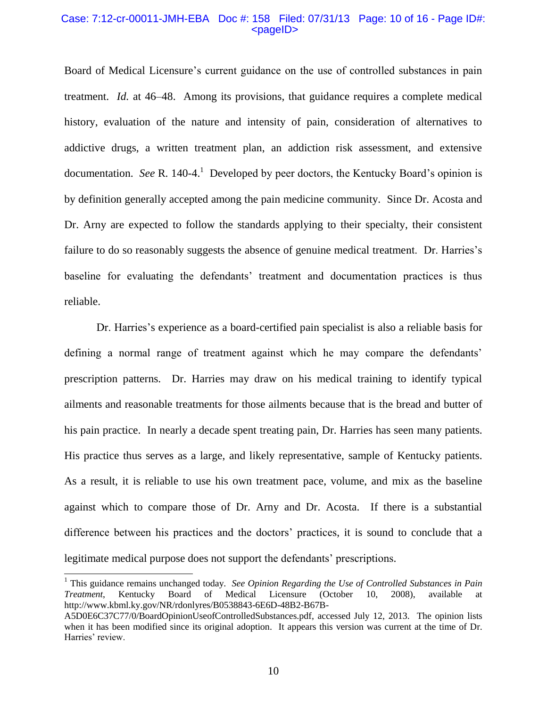## Case: 7:12-cr-00011-JMH-EBA Doc #: 158 Filed: 07/31/13 Page: 10 of 16 - Page ID#:  $<$ pageID $>$

Board of Medical Licensure's current guidance on the use of controlled substances in pain treatment. *Id.* at 46–48. Among its provisions, that guidance requires a complete medical history, evaluation of the nature and intensity of pain, consideration of alternatives to addictive drugs, a written treatment plan, an addiction risk assessment, and extensive documentation. *See* R. 140-4.<sup>1</sup> Developed by peer doctors, the Kentucky Board's opinion is by definition generally accepted among the pain medicine community. Since Dr. Acosta and Dr. Arny are expected to follow the standards applying to their specialty, their consistent failure to do so reasonably suggests the absence of genuine medical treatment. Dr. Harries's baseline for evaluating the defendants' treatment and documentation practices is thus reliable.

Dr. Harries's experience as a board-certified pain specialist is also a reliable basis for defining a normal range of treatment against which he may compare the defendants' prescription patterns. Dr. Harries may draw on his medical training to identify typical ailments and reasonable treatments for those ailments because that is the bread and butter of his pain practice. In nearly a decade spent treating pain, Dr. Harries has seen many patients. His practice thus serves as a large, and likely representative, sample of Kentucky patients. As a result, it is reliable to use his own treatment pace, volume, and mix as the baseline against which to compare those of Dr. Arny and Dr. Acosta. If there is a substantial difference between his practices and the doctors' practices, it is sound to conclude that a legitimate medical purpose does not support the defendants' prescriptions.

 $\overline{a}$ 

<sup>&</sup>lt;sup>1</sup> This guidance remains unchanged today. *See Opinion Regarding the Use of Controlled Substances in Pain Treatment*, Kentucky Board of Medical Licensure (October 10, 2008), available http://www.kbml.ky.gov/NR/rdonlyres/B0538843-6E6D-48B2-B67B-

A5D0E6C37C77/0/BoardOpinionUseofControlledSubstances.pdf, accessed July 12, 2013. The opinion lists when it has been modified since its original adoption. It appears this version was current at the time of Dr. Harries' review.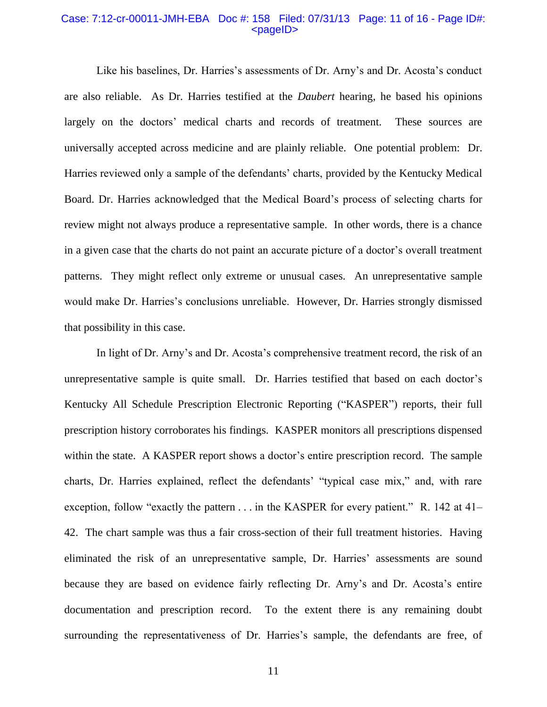#### Case: 7:12-cr-00011-JMH-EBA Doc #: 158 Filed: 07/31/13 Page: 11 of 16 - Page ID#:  $<$ pageID $>$

Like his baselines, Dr. Harries's assessments of Dr. Arny's and Dr. Acosta's conduct are also reliable. As Dr. Harries testified at the *Daubert* hearing, he based his opinions largely on the doctors' medical charts and records of treatment. These sources are universally accepted across medicine and are plainly reliable. One potential problem: Dr. Harries reviewed only a sample of the defendants' charts, provided by the Kentucky Medical Board. Dr. Harries acknowledged that the Medical Board's process of selecting charts for review might not always produce a representative sample. In other words, there is a chance in a given case that the charts do not paint an accurate picture of a doctor's overall treatment patterns. They might reflect only extreme or unusual cases. An unrepresentative sample would make Dr. Harries's conclusions unreliable. However, Dr. Harries strongly dismissed that possibility in this case.

In light of Dr. Arny's and Dr. Acosta's comprehensive treatment record, the risk of an unrepresentative sample is quite small. Dr. Harries testified that based on each doctor's Kentucky All Schedule Prescription Electronic Reporting ("KASPER") reports, their full prescription history corroborates his findings. KASPER monitors all prescriptions dispensed within the state. A KASPER report shows a doctor's entire prescription record. The sample charts, Dr. Harries explained, reflect the defendants' "typical case mix," and, with rare exception, follow "exactly the pattern  $\dots$  in the KASPER for every patient." R. 142 at 41– 42. The chart sample was thus a fair cross-section of their full treatment histories. Having eliminated the risk of an unrepresentative sample, Dr. Harries' assessments are sound because they are based on evidence fairly reflecting Dr. Arny's and Dr. Acosta's entire documentation and prescription record. To the extent there is any remaining doubt surrounding the representativeness of Dr. Harries's sample, the defendants are free, of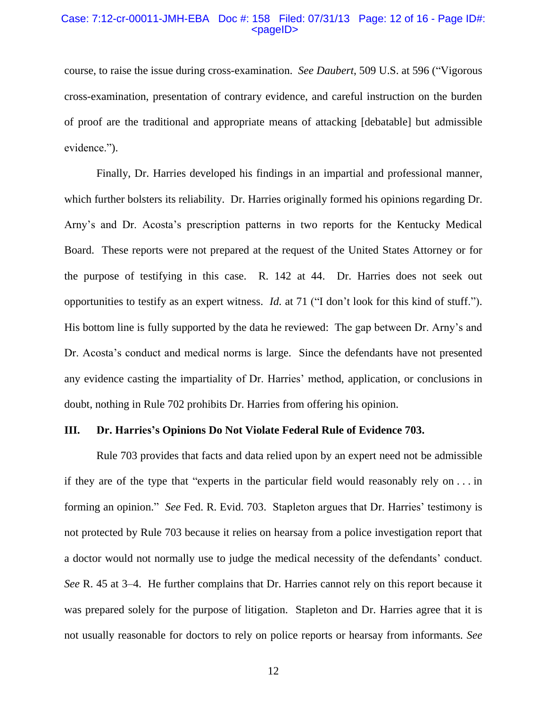#### Case: 7:12-cr-00011-JMH-EBA Doc #: 158 Filed: 07/31/13 Page: 12 of 16 - Page ID#:  $<$ pageID $>$

course, to raise the issue during cross-examination. *See Daubert*, 509 U.S. at 596 ("Vigorous cross-examination, presentation of contrary evidence, and careful instruction on the burden of proof are the traditional and appropriate means of attacking [debatable] but admissible evidence.").

Finally, Dr. Harries developed his findings in an impartial and professional manner, which further bolsters its reliability. Dr. Harries originally formed his opinions regarding Dr. Arny's and Dr. Acosta's prescription patterns in two reports for the Kentucky Medical Board. These reports were not prepared at the request of the United States Attorney or for the purpose of testifying in this case. R. 142 at 44. Dr. Harries does not seek out opportunities to testify as an expert witness. *Id.* at 71 ("I don't look for this kind of stuff."). His bottom line is fully supported by the data he reviewed: The gap between Dr. Arny's and Dr. Acosta's conduct and medical norms is large. Since the defendants have not presented any evidence casting the impartiality of Dr. Harries' method, application, or conclusions in doubt, nothing in Rule 702 prohibits Dr. Harries from offering his opinion.

### **III. Dr. Harries's Opinions Do Not Violate Federal Rule of Evidence 703.**

Rule 703 provides that facts and data relied upon by an expert need not be admissible if they are of the type that "experts in the particular field would reasonably rely on . . . in forming an opinion." *See* Fed. R. Evid. 703. Stapleton argues that Dr. Harries' testimony is not protected by Rule 703 because it relies on hearsay from a police investigation report that a doctor would not normally use to judge the medical necessity of the defendants' conduct. *See* R. 45 at 3–4. He further complains that Dr. Harries cannot rely on this report because it was prepared solely for the purpose of litigation. Stapleton and Dr. Harries agree that it is not usually reasonable for doctors to rely on police reports or hearsay from informants. *See*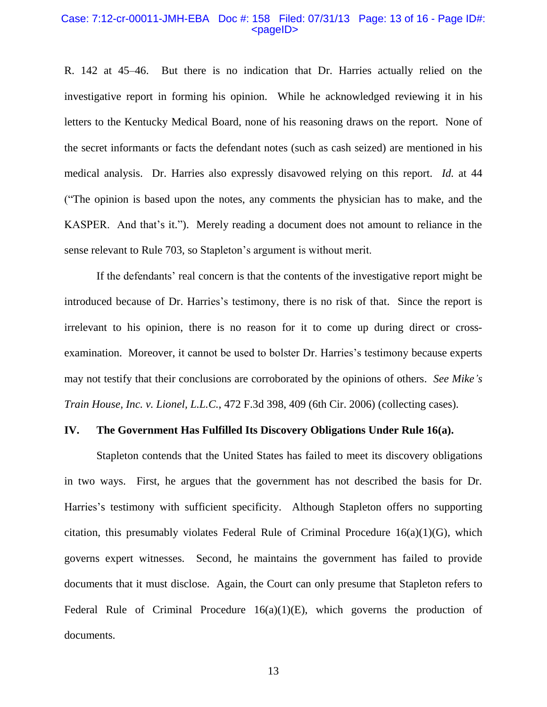#### Case: 7:12-cr-00011-JMH-EBA Doc #: 158 Filed: 07/31/13 Page: 13 of 16 - Page ID#:  $<$ pageID $>$

R. 142 at 45–46. But there is no indication that Dr. Harries actually relied on the investigative report in forming his opinion. While he acknowledged reviewing it in his letters to the Kentucky Medical Board, none of his reasoning draws on the report. None of the secret informants or facts the defendant notes (such as cash seized) are mentioned in his medical analysis. Dr. Harries also expressly disavowed relying on this report. *Id.* at 44 ("The opinion is based upon the notes, any comments the physician has to make, and the KASPER. And that's it."). Merely reading a document does not amount to reliance in the sense relevant to Rule 703, so Stapleton's argument is without merit.

If the defendants' real concern is that the contents of the investigative report might be introduced because of Dr. Harries's testimony, there is no risk of that. Since the report is irrelevant to his opinion, there is no reason for it to come up during direct or crossexamination. Moreover, it cannot be used to bolster Dr. Harries's testimony because experts may not testify that their conclusions are corroborated by the opinions of others. *See Mike's Train House, Inc. v. Lionel, L.L.C.*, 472 F.3d 398, 409 (6th Cir. 2006) (collecting cases).

### **IV. The Government Has Fulfilled Its Discovery Obligations Under Rule 16(a).**

Stapleton contends that the United States has failed to meet its discovery obligations in two ways. First, he argues that the government has not described the basis for Dr. Harries's testimony with sufficient specificity. Although Stapleton offers no supporting citation, this presumably violates Federal Rule of Criminal Procedure  $16(a)(1)(G)$ , which governs expert witnesses. Second, he maintains the government has failed to provide documents that it must disclose. Again, the Court can only presume that Stapleton refers to Federal Rule of Criminal Procedure 16(a)(1)(E), which governs the production of documents.

13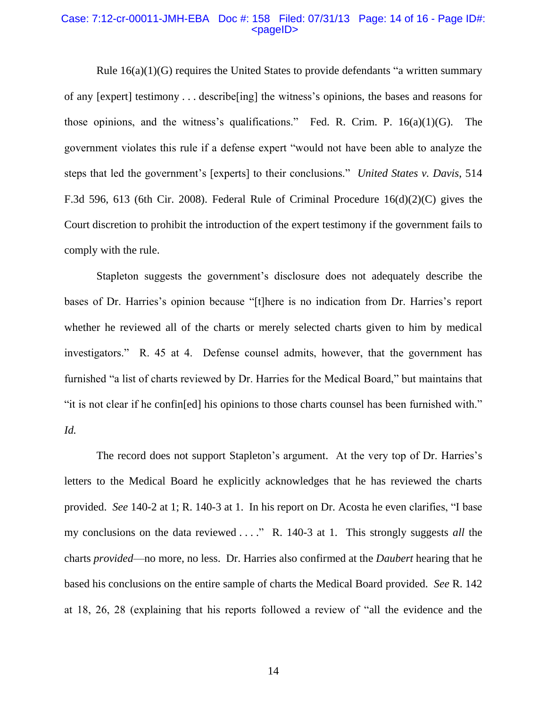## Case: 7:12-cr-00011-JMH-EBA Doc #: 158 Filed: 07/31/13 Page: 14 of 16 - Page ID#:  $<$ pageID $>$

Rule 16(a)(1)(G) requires the United States to provide defendants "a written summary of any [expert] testimony . . . describe[ing] the witness's opinions, the bases and reasons for those opinions, and the witness's qualifications." Fed. R. Crim. P.  $16(a)(1)(G)$ . The government violates this rule if a defense expert "would not have been able to analyze the steps that led the government's [experts] to their conclusions." *United States v. Davis*, 514 F.3d 596, 613 (6th Cir. 2008). Federal Rule of Criminal Procedure 16(d)(2)(C) gives the Court discretion to prohibit the introduction of the expert testimony if the government fails to comply with the rule.

Stapleton suggests the government's disclosure does not adequately describe the bases of Dr. Harries's opinion because "[t]here is no indication from Dr. Harries's report whether he reviewed all of the charts or merely selected charts given to him by medical investigators." R. 45 at 4. Defense counsel admits, however, that the government has furnished "a list of charts reviewed by Dr. Harries for the Medical Board," but maintains that "it is not clear if he confin[ed] his opinions to those charts counsel has been furnished with." *Id.*

The record does not support Stapleton's argument.At the very top of Dr. Harries's letters to the Medical Board he explicitly acknowledges that he has reviewed the charts provided. *See* 140-2 at 1; R. 140-3 at 1. In his report on Dr. Acosta he even clarifies, "I base my conclusions on the data reviewed . . . ." R. 140-3 at 1. This strongly suggests *all* the charts *provided*—no more, no less. Dr. Harries also confirmed at the *Daubert* hearing that he based his conclusions on the entire sample of charts the Medical Board provided. *See* R. 142 at 18, 26, 28 (explaining that his reports followed a review of "all the evidence and the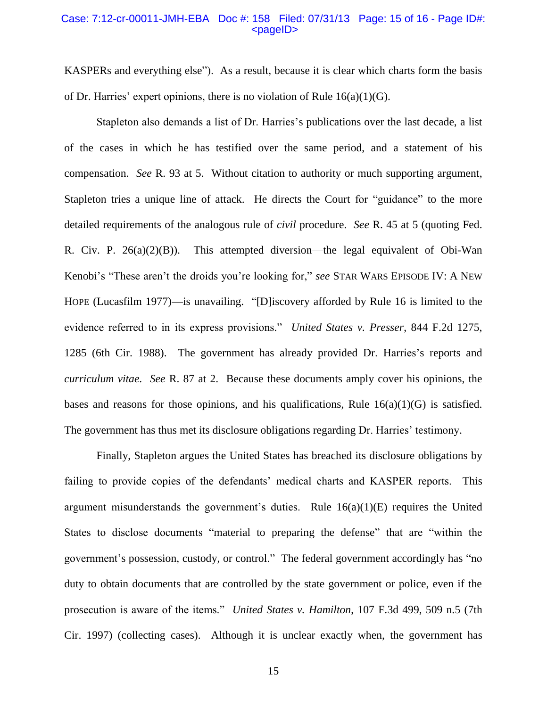#### Case: 7:12-cr-00011-JMH-EBA Doc #: 158 Filed: 07/31/13 Page: 15 of 16 - Page ID#:  $<$ pageID $>$

KASPERs and everything else"). As a result, because it is clear which charts form the basis of Dr. Harries' expert opinions, there is no violation of Rule  $16(a)(1)(G)$ .

Stapleton also demands a list of Dr. Harries's publications over the last decade, a list of the cases in which he has testified over the same period, and a statement of his compensation. *See* R. 93 at 5. Without citation to authority or much supporting argument, Stapleton tries a unique line of attack. He directs the Court for "guidance" to the more detailed requirements of the analogous rule of *civil* procedure. *See* R. 45 at 5 (quoting Fed. R. Civ. P. 26(a)(2)(B)). This attempted diversion—the legal equivalent of Obi-Wan Kenobi's "These aren't the droids you're looking for," *see* STAR WARS EPISODE IV: A NEW HOPE (Lucasfilm 1977)—is unavailing. "[D]iscovery afforded by Rule 16 is limited to the evidence referred to in its express provisions." *United States v. Presser*, 844 F.2d 1275, 1285 (6th Cir. 1988). The government has already provided Dr. Harries's reports and *curriculum vitae*. *See* R. 87 at 2. Because these documents amply cover his opinions, the bases and reasons for those opinions, and his qualifications, Rule  $16(a)(1)(G)$  is satisfied. The government has thus met its disclosure obligations regarding Dr. Harries' testimony.

Finally, Stapleton argues the United States has breached its disclosure obligations by failing to provide copies of the defendants' medical charts and KASPER reports. This argument misunderstands the government's duties. Rule  $16(a)(1)(E)$  requires the United States to disclose documents "material to preparing the defense" that are "within the government's possession, custody, or control." The federal government accordingly has "no duty to obtain documents that are controlled by the state government or police, even if the prosecution is aware of the items." *United States v. Hamilton*, 107 F.3d 499, 509 n.5 (7th Cir. 1997) (collecting cases). Although it is unclear exactly when, the government has